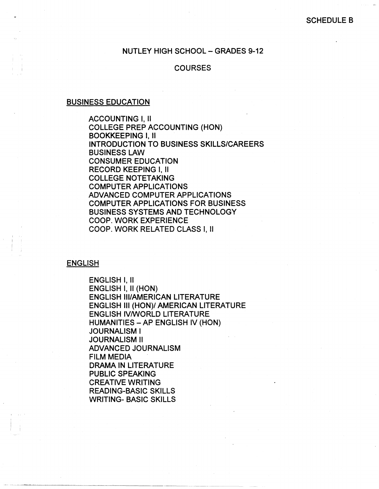### NUTLEY HIGH SCHOOL - GRADES 9-12

## **COURSES**

#### BUSINESS EDUCATION

I I

i I

 $\vert \cdot \vert$ 

ACCOUNTING I, II COLLEGE PREP ACCOUNTING (HON) BOOKKEEPING I, II INTRODUCTION TO BUSINESS SKILLS/CAREERS BUSINESS LAW CONSUMER EDUCATION RECORD KEEPING I, II COLLEGE NOTETAKING COMPUTER APPLICATIONS ADVANCED COMPUTER APPLICATIONS COMPUTER APPLICATIONS FOR BUSINESS BUSINESS SYSTEMS AND TECHNOLOGY COOP. WORK EXPERIENCE COOP. WORK RELATED CLASS I, II

#### ENGLISH

ENGLISH I, II ENGLISH I, II (HON) ENGLISH Ill/AMERICAN LITERATURE ENGLISH Ill (HON)/ AMERICAN LITERATURE ENGLISH IV/WORLD LITERATURE HUMANITIES -AP ENGLISH IV (HON) JOURNALISM I JOURNALISM II ADVANCED JOURNALISM FILM MEDIA DRAMA IN LITERATURE PUBLIC SPEAKING CREATIVE WRITING READING-BASIC SKILLS WRITING- BASIC SKILLS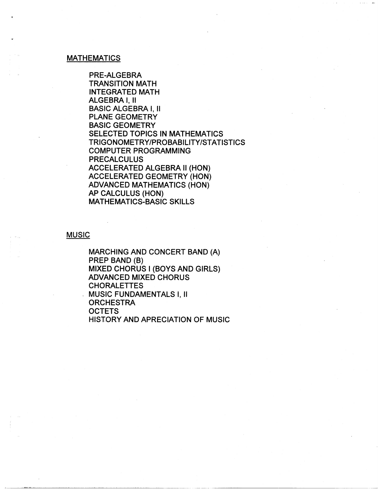#### **MATHEMATICS**

PRE-ALGEBRA TRANSITION MATH INTEGRATED MATH ALGEBRA I, II BASIC ALGEBRA I, II PLANE GEOMETRY BASIC GEOMETRY SELECTED TOPICS IN MATHEMATICS TRIGONOMETRY/PROBABILITY/STATISTICS COMPUTER PROGRAMMING PRECALCULUS ACCELERATED ALGEBRA II (HON) ACCELERATED GEOMETRY (HON) ADVANCED MATHEMATICS (HON) AP CALCULUS (HON) MATHEMATICS-BASIC SKILLS

## **MUSIC**

MARCHING AND CONCERT BAND (A) PREP BAND (8) MIXED CHORUS I (BOYS AND GIRLS) ADVANCED MIXED CHORUS CHORALETTES . MUSIC FUNDAMENTALS I, II **ORCHESTRA OCTETS** HISTORY AND APRECIATION OF MUSIC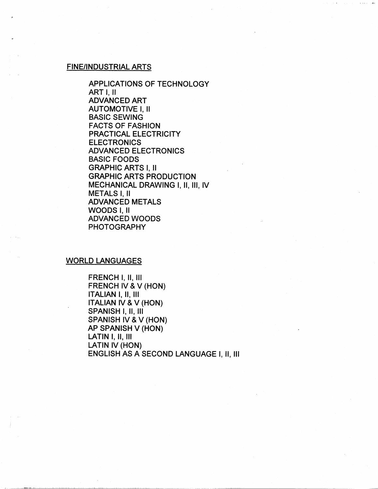#### FINE/INDUSTRIAL ARTS

APPLICATIONS OF TECHNOLOGY ART I, II ADVANCED ART AUTOMOTIVE I, II BASIC SEWING FACTS OF FASHION PRACTICAL ELECTRICITY **ELECTRONICS** ADVANCED ELECTRONICS BASIC FOODS GRAPHIC ARTS I, II GRAPHIC ARTS PRODUCTION MECHANICAL DRAWING I, II, 111, IV METALS I, II ADVANCED METALS WOODS I, II ADVANCED WOODS PHOTOGRAPHY

#### WORLD LANGUAGES

FRENCH I, II, Ill FRENCH IV & V (HON) ITALIAN I, II, Ill ITALIAN IV & V (HON) SPANISH I, II, Ill SPANISH IV & V (HON) AP SPANISH V (HON) LATIN I, II, III LATIN IV (HON) ENGLISH AS A SECOND LANGUAGE I, II, Ill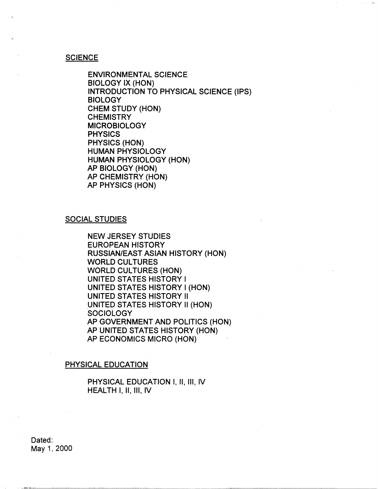### **SCIENCE**

ENVIRONMENTAL SCIENCE BIOLOGY IX {HON) INTRODUCTION TO PHYSICAL SCIENCE {IPS) BIOLOGY CHEM STUDY {HON) **CHEMISTRY** MICROBIOLOGY PHYSICS PHYSICS {HON) HUMAN PHYSIOLOGY HUMAN PHYSIOLOGY {HON) AP BIOLOGY {HON) AP CHEMISTRY {HON) AP PHYSICS {HON)

#### SOCIAL STUDIES

NEW JERSEY STUDIES EUROPEAN HISTORY RUSSIAN/EAST **ASIAN** HISTORY {HON) WORLD CULTURES WORLD CULTURES (HON) UNITED STATES HISTORY I UNITED STATES HISTORY I {HON) UNITED STATES HISTORY II UNITED STATES HISTORY II (HON) **SOCIOLOGY** AP GOVERNMENT AND POLITICS {HON) AP UNITED STATES HISTORY {HON) AP ECONOMICS MICRO {HON)

#### PHYSICAL EDUCATION

PHYSICAL EDUCATION I, II, III, IV HEALTH I, II, Ill, IV

Dated: May 1, 2000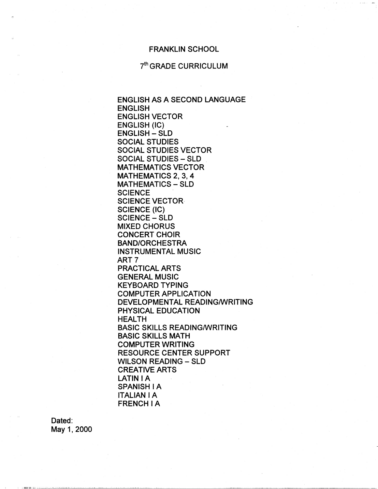### FRANKLIN SCHOOL

# 7<sup>th</sup> GRADE CURRICULUM

ENGLISH **AS A** SECOND LANGUAGE ENGLISH ENGLISH VECTOR ENGLISH (IC) ENGLISH - SLD SOCIAL STUDIES SOCIAL STUDIES VECTOR SOCIAL STUDIES - SLD **MATHEMATICS VECTOR** MATHEMATICS 2, 3, 4 MATHEMATICS - SLD **SCIENCE** SCIENCE VECTOR SCIENCE (IC) SCIENCE - SLD MIXED CHORUS CONCERT CHOIR BAND/ORCHESTRA INSTRUMENTAL MUSIC ART<sub>7</sub> PRACTICAL ARTS GENERAL MUSIC KEYBOARD TYPING COMPUTER APPLICATION DEVELOPMENTAL READING/WRITING PHYSICAL EDUCATION HEALTH BASIC SKILLS READING/WRITING BASIC SKILLS MATH COMPUTER WRITING RESOURCE CENTER SUPPORT WILSON READING - SLD CREATIVE ARTS LATIN I A **SPANISH IA ITALIANIA**  FRENCH IA

Dated: May 1, 2000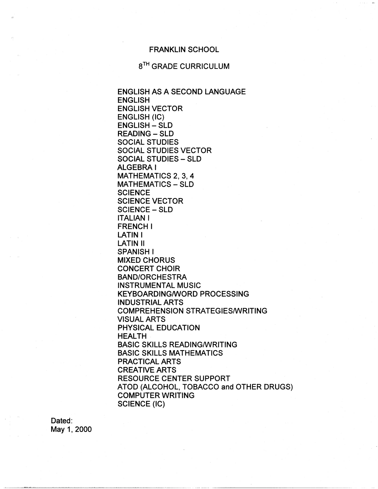### FRANKLIN SCHOOL

## 8<sup>TH</sup> GRADE CURRICULUM

ENGLISH AS A SECOND LANGUAGE ENGLISH ENGLISH VECTOR ENGLISH (IC) ENGLISH - SLD **READING - SLD** SOCIAL STUDIES SOCIAL STUDIES VECTOR SOCIAL STUDIES - SLD ALGEBRA I MATHEMATICS 2, 3, 4 MATHEMATICS - SLD **SCIENCE** SCIENCE VECTOR SCIENCE - SLD ITALIANI FRENCH I LATIN I LATIN II SPANISH I MIXED CHORUS CONCERT CHOIR BAND/ORCHESTRA INSTRUMENTAL MUSIC KEYBOARDING/WORD PROCESSING INDUSTRIAL ARTS COMPREHENSION STRATEGIES/WRITING VISUAL ARTS PHYSICAL EDUCATION HEALTH BASIC SKILLS READING/WRITING BASIC SKILLS MATHEMATICS PRACTICAL ARTS CREATIVE ARTS RESOURCE CENTER SUPPORT ATOD (ALCOHOL, TOBACCO and OTHER DRUGS) COMPUTER WRITING SCIENCE (IC)

···------·-·---~---------~

Dated: May 1, 2000